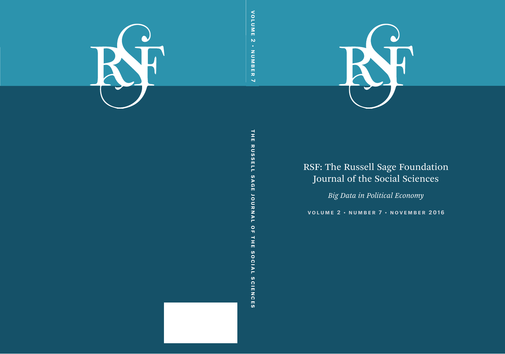

# RSF: The Russell Sage Foundation Journal of the Social Sciences

*Big Data in Political Economy*

**volume 2 • number 7 • november 2016**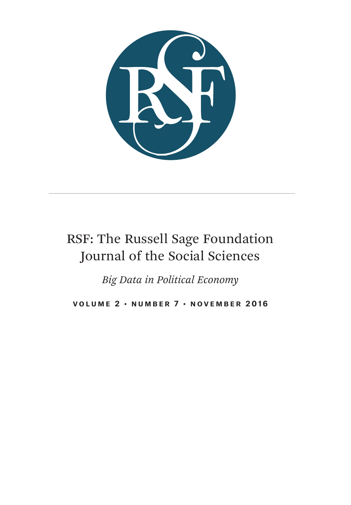

# RSF: The Russell Sage Foundation Journal of the Social Sciences

*Big Data in Political Economy*

**VOLUME 2 · NUMBER 7 · NOVEMBER 2016**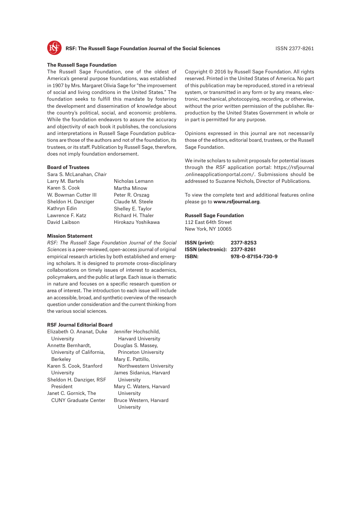

#### **The Russell Sage Foundation**

The Russell Sage Foundation, one of the oldest of America's general purpose foundations, was established in 1907 by Mrs. Margaret Olivia Sage for "the improvement of social and living conditions in the United States." The foundation seeks to fulfill this mandate by fostering the development and dissemination of knowledge about the country's political, social, and economic problems. While the foundation endeavors to assure the accuracy and objectivity of each book it publishes, the conclusions and interpretations in Russell Sage Foundation publications are those of the authors and not of the foundation, its trustees, or its staff. Publication by Russell Sage, therefore, does not imply foundation endorsement.

#### **Board of Trustees**

Sara S. McLanahan, *Chair* Larry M. Bartels Karen S. Cook W. Bowman Cutter III Sheldon H. Danziger Kathryn Edin Lawrence F. Katz David Laibson

Nicholas Lemann Martha Minow Peter R. Orszag Claude M. Steele Shelley E. Taylor Richard H. Thaler Hirokazu Yoshikawa

#### **Mission Statement**

*RSF: The Russell Sage Foundation Journal of the Social Sciences* is a peer-reviewed, open-access journal of original empirical research articles by both established and emerging scholars. It is designed to promote cross-disciplinary collaborations on timely issues of interest to academics, policymakers, and the public at large. Each issue is thematic in nature and focuses on a specific research question or area of interest. The introduction to each issue will include an accessible, broad, and synthetic overview of the research question under consideration and the current thinking from the various social sciences.

#### **RSF Journal Editorial Board**

| Elizabeth O. Ananat, Duke   | Jennifer Hochschild.                 |
|-----------------------------|--------------------------------------|
| University                  | <b>Harvard University</b>            |
| Annette Bernhardt,          | Douglas S. Massey,                   |
| University of California,   | <b>Princeton University</b>          |
| <b>Berkeley</b>             | Mary E. Pattillo,                    |
| Karen S. Cook, Stanford     | Northwestern University              |
| University                  | James Sidanius, Harvard              |
| Sheldon H. Danziger, RSF    | University                           |
| President                   | Mary C. Waters, Harvard              |
| Janet C. Gornick, The       | University                           |
| <b>CUNY Graduate Center</b> | Bruce Western, Harvard<br>University |

Copyright © 2016 by Russell Sage Foundation. All rights reserved. Printed in the United States of America. No part of this publication may be reproduced, stored in a retrieval system, or transmitted in any form or by any means, electronic, mechanical, photocopying, recording, or otherwise, without the prior written permission of the publisher. Reproduction by the United States Government in whole or in part is permitted for any purpose.

Opinions expressed in this journal are not necessarily those of the editors, editorial board, trustees, or the Russell Sage Foundation.

We invite scholars to submit proposals for potential issues through the *RSF* application portal: [https://rsfjournal](https://rsfjournal.onlineapplicationportal.com/) [.onlineapplicationportal.com/.](https://rsfjournal.onlineapplicationportal.com/) Submissions should be addressed to Suzanne Nichols, Director of Publications.

To view the complete text and additional features online please go to **<www.rsfjournal.org>**.

#### **Russell Sage Foundation**

112 East 64th Street New York, NY 10065

| ISSN (print):                | 2377-8253         |
|------------------------------|-------------------|
| ISSN (electronic): 2377-8261 |                   |
| ISBN:                        | 978-0-87154-730-9 |